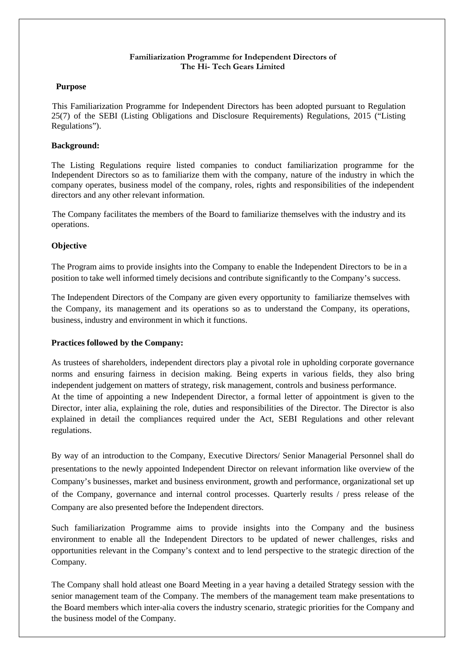#### **Familiarization Programme for Independent Directors of The Hi- Tech Gears Limited**

### **Purpose**

 This Familiarization Programme for Independent Directors has been adopted pursuant to Regulation 25(7) of the SEBI (Listing Obligations and Disclosure Requirements) Regulations, 2015 ("Listing Regulations").

## **Background:**

The Listing Regulations require listed companies to conduct familiarization programme for the Independent Directors so as to familiarize them with the company, nature of the industry in which the company operates, business model of the company, roles, rights and responsibilities of the independent directors and any other relevant information.

 The Company facilitates the members of the Board to familiarize themselves with the industry and its operations.

### **Objective**

The Program aims to provide insights into the Company to enable the Independent Directors to be in a position to take well informed timely decisions and contribute significantly to the Company's success.

The Independent Directors of the Company are given every opportunity to familiarize themselves with the Company, its management and its operations so as to understand the Company, its operations, business, industry and environment in which it functions.

# **Practices followed by the Company:**

As trustees of shareholders, independent directors play a pivotal role in upholding corporate governance norms and ensuring fairness in decision making. Being experts in various fields, they also bring independent judgement on matters of strategy, risk management, controls and business performance. At the time of appointing a new Independent Director, a formal letter of appointment is given to the Director, inter alia, explaining the role, duties and responsibilities of the Director. The Director is also explained in detail the compliances required under the Act, SEBI Regulations and other relevant regulations.

By way of an introduction to the Company, Executive Directors/ Senior Managerial Personnel shall do presentations to the newly appointed Independent Director on relevant information like overview of the Company's businesses, market and business environment, growth and performance, organizational set up of the Company, governance and internal control processes. Quarterly results / press release of the Company are also presented before the Independent directors.

Such familiarization Programme aims to provide insights into the Company and the business environment to enable all the Independent Directors to be updated of newer challenges, risks and opportunities relevant in the Company's context and to lend perspective to the strategic direction of the Company.

The Company shall hold atleast one Board Meeting in a year having a detailed Strategy session with the senior management team of the Company. The members of the management team make presentations to the Board members which inter-alia covers the industry scenario, strategic priorities for the Company and the business model of the Company.